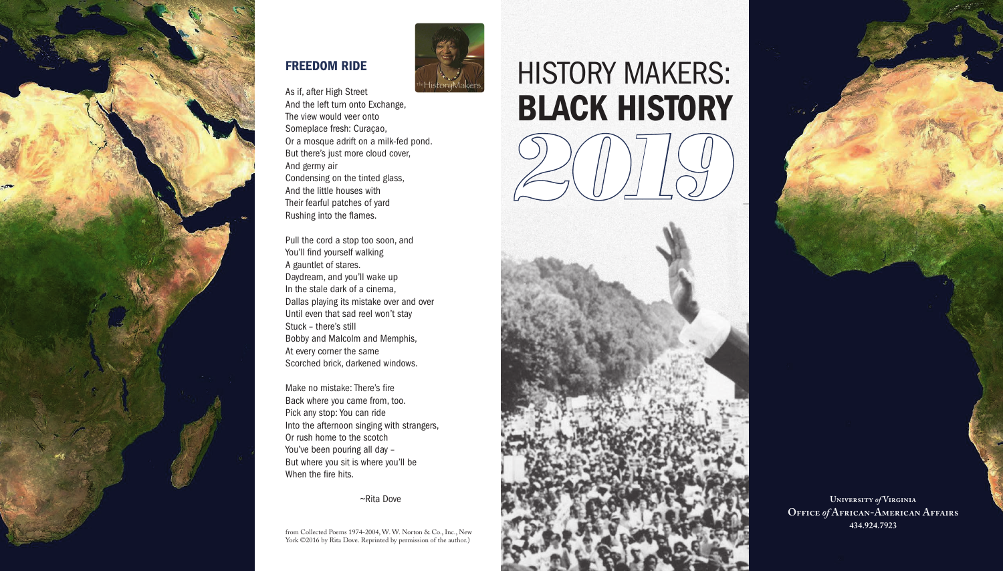

# **FREEDOM RIDE**

As if, after High Street And the left turn onto Exchange, The view would veer onto Someplace fresh: Curaçao, Or a mosque adrift on a milk-fed pond. But there's just more cloud cover, And germy air Condensing on the tinted glass, And the little houses with Their fearful patches of yard Rushing into the flames.

from Collected Poems 1974-2004, W. W. Norton & Co., Inc., New York ©2016 by Rita Dove. Reprinted by permission of the author.)



Pull the cord a stop too soon, and You'll find yourself walking A gauntlet of stares. Daydream, and you'll wake up In the stale dark of a cinema, Dallas playing its mistake over and over Until even that sad reel won't stay Stuck – there's still Bobby and Malcolm and Memphis, At every corner the same Scorched brick, darkened windows.

Make no mistake: There's fire Back where you came from, too. Pick any stop: You can ride Into the afternoon singing with strangers, Or rush home to the scotch You've been pouring all day – But where you sit is where you'll be When the fire hits.

~Rita Dove

# HISTORY MAKERS: **BLACK HISTORY**



**University** *of* **Virginia Office** *of* **African-American Affairs 434.924.7923**